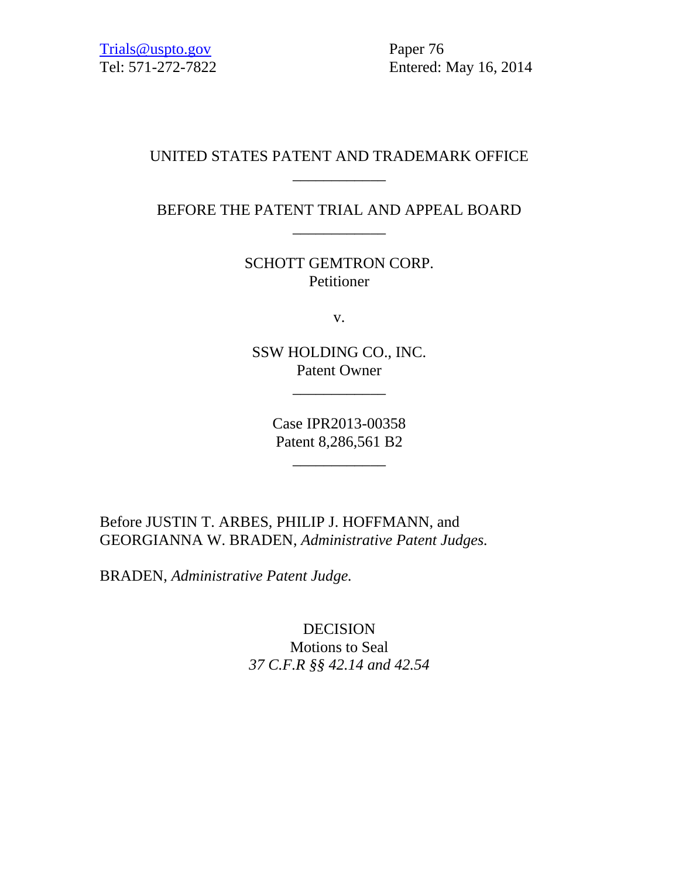Tel: 571-272-7822 Entered: May 16, 2014

## UNITED STATES PATENT AND TRADEMARK OFFICE \_\_\_\_\_\_\_\_\_\_\_\_

# BEFORE THE PATENT TRIAL AND APPEAL BOARD \_\_\_\_\_\_\_\_\_\_\_\_

SCHOTT GEMTRON CORP. Petitioner

v.

SSW HOLDING CO., INC. Patent Owner

\_\_\_\_\_\_\_\_\_\_\_\_

Case IPR2013-00358 Patent 8,286,561 B2

\_\_\_\_\_\_\_\_\_\_\_\_

Before JUSTIN T. ARBES, PHILIP J. HOFFMANN, and GEORGIANNA W. BRADEN, *Administrative Patent Judges.*

BRADEN, *Administrative Patent Judge.*

DECISION Motions to Seal *37 C.F.R §§ 42.14 and 42.54*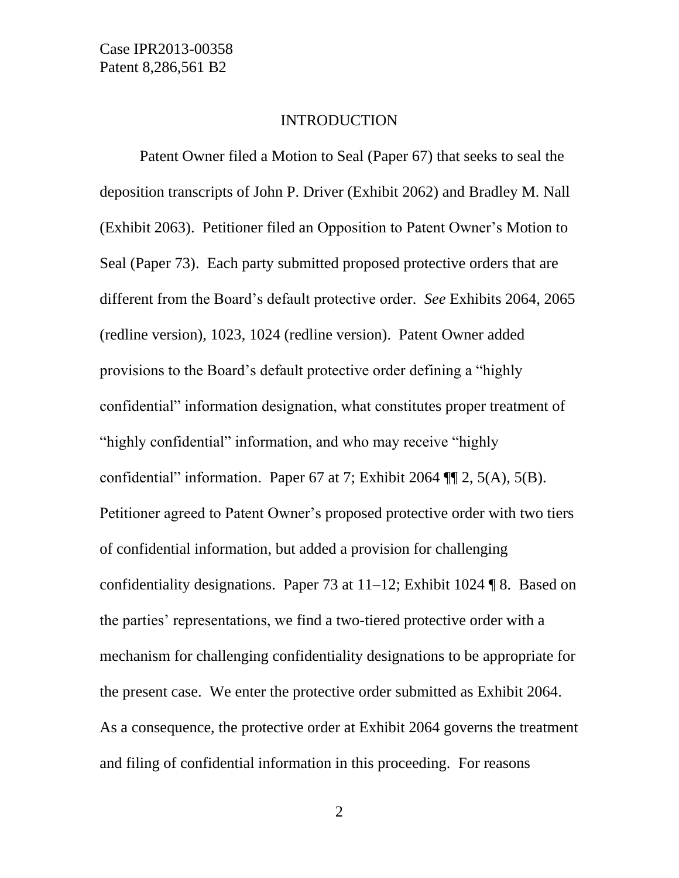#### INTRODUCTION

Patent Owner filed a Motion to Seal (Paper 67) that seeks to seal the deposition transcripts of John P. Driver (Exhibit 2062) and Bradley M. Nall (Exhibit 2063). Petitioner filed an Opposition to Patent Owner's Motion to Seal (Paper 73). Each party submitted proposed protective orders that are different from the Board's default protective order. *See* Exhibits 2064, 2065 (redline version), 1023, 1024 (redline version). Patent Owner added provisions to the Board's default protective order defining a "highly confidential" information designation, what constitutes proper treatment of "highly confidential" information, and who may receive "highly confidential" information. Paper 67 at 7; Exhibit 2064 ¶¶ 2, 5(A), 5(B). Petitioner agreed to Patent Owner's proposed protective order with two tiers of confidential information, but added a provision for challenging confidentiality designations. Paper 73 at  $11-12$ ; Exhibit 1024 ¶ 8. Based on the parties' representations, we find a two-tiered protective order with a mechanism for challenging confidentiality designations to be appropriate for the present case. We enter the protective order submitted as Exhibit 2064. As a consequence, the protective order at Exhibit 2064 governs the treatment and filing of confidential information in this proceeding. For reasons

2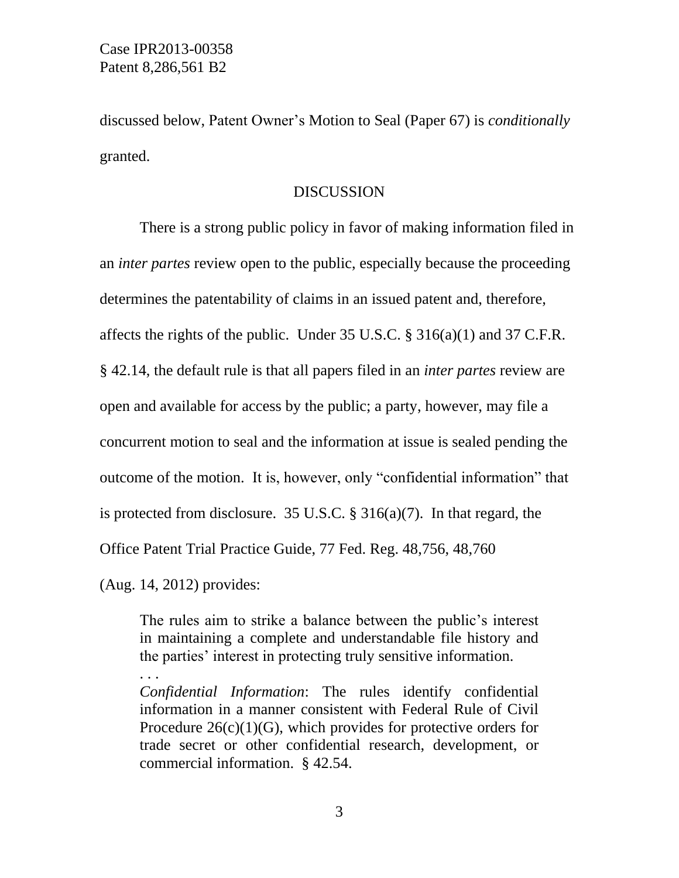discussed below, Patent Owner's Motion to Seal (Paper 67) is *conditionally* granted.

#### **DISCUSSION**

There is a strong public policy in favor of making information filed in an *inter partes* review open to the public, especially because the proceeding determines the patentability of claims in an issued patent and, therefore, affects the rights of the public. Under  $35 \text{ U.S.C.} \$   $316(a)(1)$  and  $37 \text{ C.F.R.}$ § 42.14, the default rule is that all papers filed in an *inter partes* review are open and available for access by the public; a party, however, may file a concurrent motion to seal and the information at issue is sealed pending the outcome of the motion. It is, however, only "confidential information" that is protected from disclosure. 35 U.S.C. § 316(a)(7). In that regard, the Office Patent Trial Practice Guide, 77 Fed. Reg. 48,756, 48,760

(Aug. 14, 2012) provides:

. . .

The rules aim to strike a balance between the public's interest in maintaining a complete and understandable file history and the parties' interest in protecting truly sensitive information.

*Confidential Information*: The rules identify confidential information in a manner consistent with Federal Rule of Civil Procedure  $26(c)(1)(G)$ , which provides for protective orders for trade secret or other confidential research, development, or commercial information. § 42.54.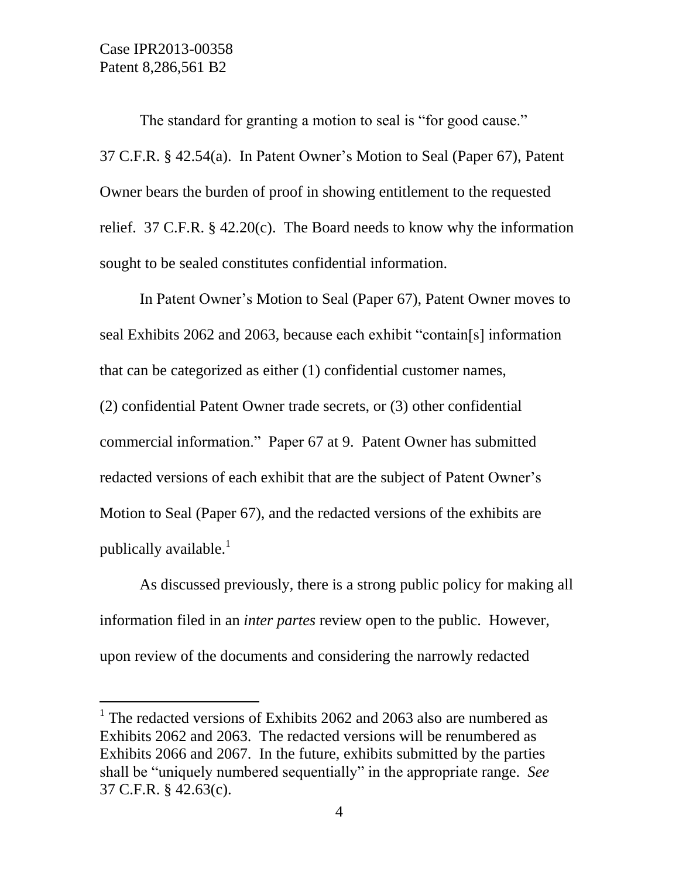l

The standard for granting a motion to seal is "for good cause." 37 C.F.R. § 42.54(a). In Patent Owner's Motion to Seal (Paper 67), Patent Owner bears the burden of proof in showing entitlement to the requested relief. 37 C.F.R. § 42.20(c). The Board needs to know why the information sought to be sealed constitutes confidential information.

In Patent Owner's Motion to Seal (Paper 67), Patent Owner moves to seal Exhibits 2062 and 2063, because each exhibit "contain[s] information that can be categorized as either (1) confidential customer names, (2) confidential Patent Owner trade secrets, or (3) other confidential commercial information." Paper 67 at 9. Patent Owner has submitted redacted versions of each exhibit that are the subject of Patent Owner's Motion to Seal (Paper 67), and the redacted versions of the exhibits are publically available.<sup>1</sup>

As discussed previously, there is a strong public policy for making all information filed in an *inter partes* review open to the public. However, upon review of the documents and considering the narrowly redacted

<sup>&</sup>lt;sup>1</sup> The redacted versions of Exhibits 2062 and 2063 also are numbered as Exhibits 2062 and 2063. The redacted versions will be renumbered as Exhibits 2066 and 2067. In the future, exhibits submitted by the parties shall be "uniquely numbered sequentially" in the appropriate range. *See* 37 C.F.R. § 42.63(c).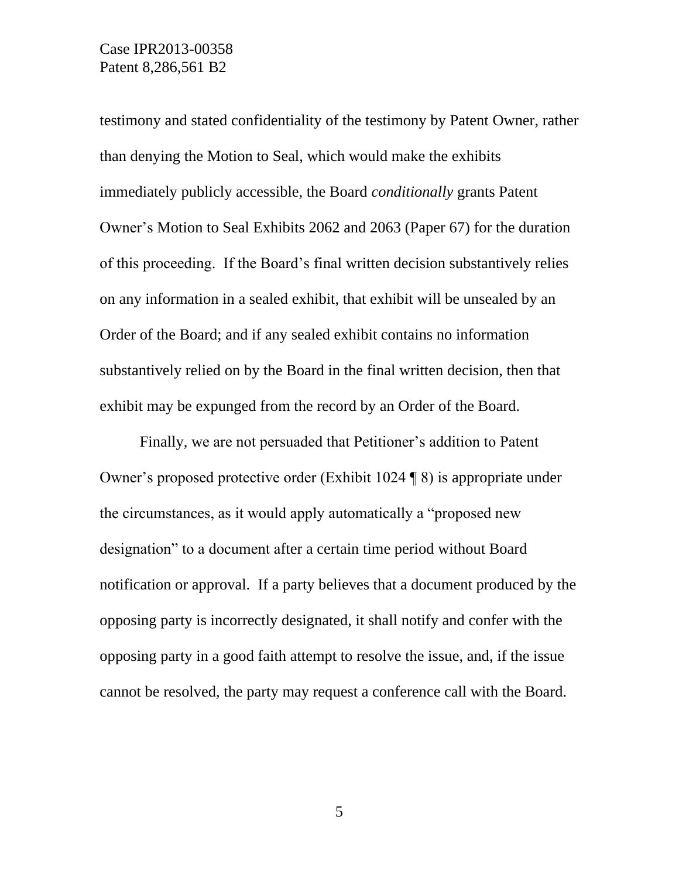### Case IPR2013-00358 Patent 8,286,561 B2

testimony and stated confidentiality of the testimony by Patent Owner, rather than denying the Motion to Seal, which would make the exhibits immediately publicly accessible, the Board *conditionally* grants Patent Owner's Motion to Seal Exhibits 2062 and 2063 (Paper 67) for the duration of this proceeding. If the Board's final written decision substantively relies on any information in a sealed exhibit, that exhibit will be unsealed by an Order of the Board; and if any sealed exhibit contains no information substantively relied on by the Board in the final written decision, then that exhibit may be expunged from the record by an Order of the Board.

Finally, we are not persuaded that Petitioner's addition to Patent Owner's proposed protective order (Exhibit 1024 ¶ 8) is appropriate under the circumstances, as it would apply automatically a "proposed new designation" to a document after a certain time period without Board notification or approval. If a party believes that a document produced by the opposing party is incorrectly designated, it shall notify and confer with the opposing party in a good faith attempt to resolve the issue, and, if the issue cannot be resolved, the party may request a conference call with the Board.

5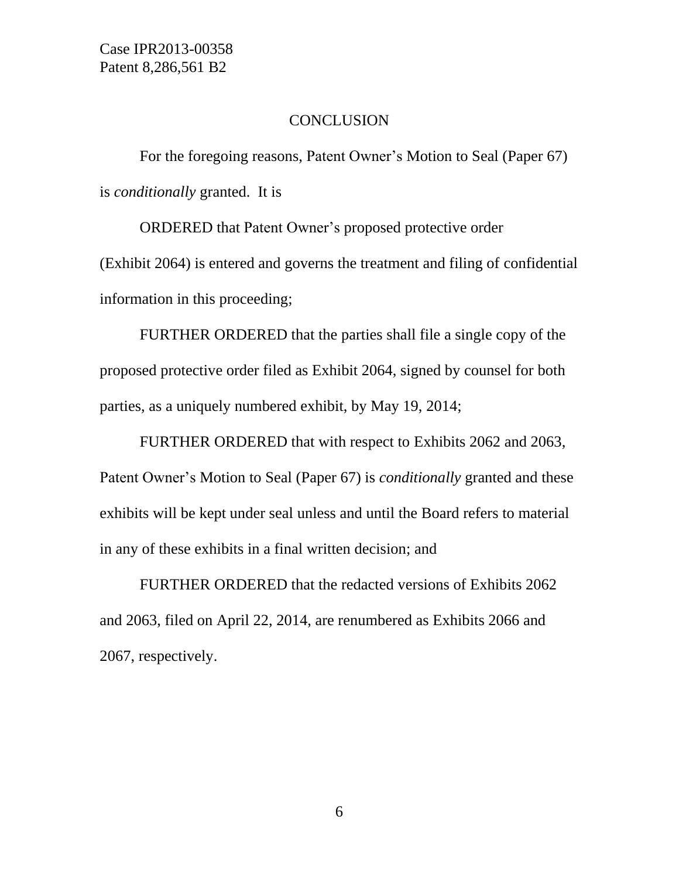#### **CONCLUSION**

For the foregoing reasons, Patent Owner's Motion to Seal (Paper 67) is *conditionally* granted. It is

ORDERED that Patent Owner's proposed protective order (Exhibit 2064) is entered and governs the treatment and filing of confidential information in this proceeding;

FURTHER ORDERED that the parties shall file a single copy of the proposed protective order filed as Exhibit 2064, signed by counsel for both parties, as a uniquely numbered exhibit, by May 19, 2014;

FURTHER ORDERED that with respect to Exhibits 2062 and 2063, Patent Owner's Motion to Seal (Paper 67) is *conditionally* granted and these exhibits will be kept under seal unless and until the Board refers to material in any of these exhibits in a final written decision; and

FURTHER ORDERED that the redacted versions of Exhibits 2062 and 2063, filed on April 22, 2014, are renumbered as Exhibits 2066 and 2067, respectively.

6